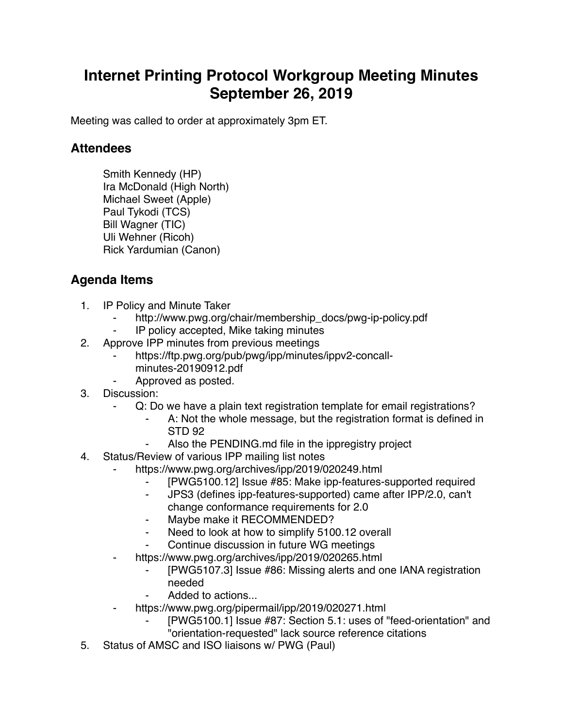## **Internet Printing Protocol Workgroup Meeting Minutes September 26, 2019**

Meeting was called to order at approximately 3pm ET.

## **Attendees**

Smith Kennedy (HP) Ira McDonald (High North) Michael Sweet (Apple) Paul Tykodi (TCS) Bill Wagner (TIC) Uli Wehner (Ricoh) Rick Yardumian (Canon)

## **Agenda Items**

- 1. IP Policy and Minute Taker
	- http://www.pwg.org/chair/membership\_docs/pwg-ip-policy.pdf
	- ⁃ IP policy accepted, Mike taking minutes
- 2. Approve IPP minutes from previous meetings
	- https://ftp.pwg.org/pub/pwg/ipp/minutes/ippv2-concallminutes-20190912.pdf
	- Approved as posted.
- 3. Discussion:
	- Q: Do we have a plain text registration template for email registrations?
		- A: Not the whole message, but the registration format is defined in STD 92
		- Also the PENDING.md file in the ippregistry project
- 4. Status/Review of various IPP mailing list notes
	- https://www.pwg.org/archives/ipp/2019/020249.html
		- ⁃ [PWG5100.12] Issue #85: Make ipp-features-supported required
		- ⁃ JPS3 (defines ipp-features-supported) came after IPP/2.0, can't change conformance requirements for 2.0
		- Maybe make it RECOMMENDED?
		- Need to look at how to simplify 5100.12 overall
		- Continue discussion in future WG meetings
	- https://www.pwg.org/archives/ipp/2019/020265.html
		- [PWG5107.3] Issue #86: Missing alerts and one IANA registration needed
		- Added to actions...
	- https://www.pwg.org/pipermail/ipp/2019/020271.html
		- [PWG5100.1] Issue #87: Section 5.1: uses of "feed-orientation" and "orientation-requested" lack source reference citations
- 5. Status of AMSC and ISO liaisons w/ PWG (Paul)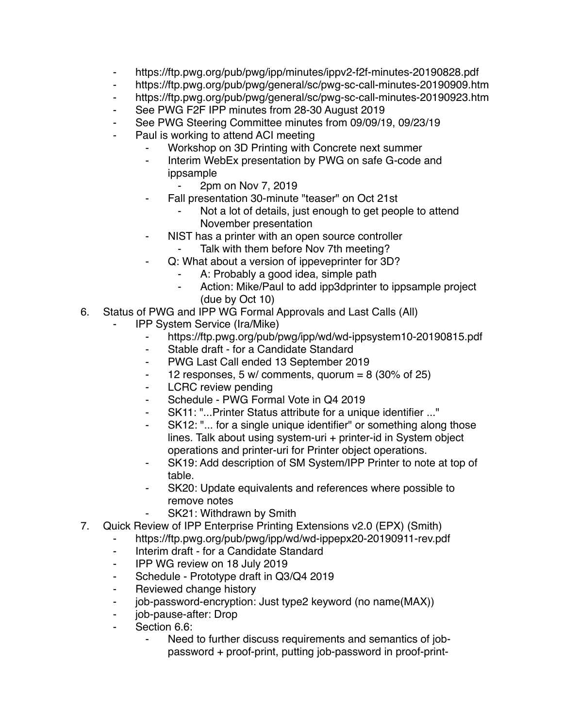- ⁃ https://ftp.pwg.org/pub/pwg/ipp/minutes/ippv2-f2f-minutes-20190828.pdf
- ⁃ https://ftp.pwg.org/pub/pwg/general/sc/pwg-sc-call-minutes-20190909.htm
- ⁃ https://ftp.pwg.org/pub/pwg/general/sc/pwg-sc-call-minutes-20190923.htm
- ⁃ See PWG F2F IPP minutes from 28-30 August 2019
- ⁃ See PWG Steering Committee minutes from 09/09/19, 09/23/19
- Paul is working to attend ACI meeting
	- Workshop on 3D Printing with Concrete next summer
	- ⁃ Interim WebEx presentation by PWG on safe G-code and ippsample
		- ⁃ 2pm on Nov 7, 2019
	- Fall presentation 30-minute "teaser" on Oct 21st
		- Not a lot of details, just enough to get people to attend November presentation
	- ⁃ NIST has a printer with an open source controller
		- Talk with them before Nov 7th meeting?
	- Q: What about a version of ippeveprinter for 3D?
		- A: Probably a good idea, simple path
		- ⁃ Action: Mike/Paul to add ipp3dprinter to ippsample project (due by Oct 10)
- 6. Status of PWG and IPP WG Formal Approvals and Last Calls (All)
	- ⁃ IPP System Service (Ira/Mike)
		- ⁃ https://ftp.pwg.org/pub/pwg/ipp/wd/wd-ippsystem10-20190815.pdf
		- Stable draft for a Candidate Standard
		- ⁃ PWG Last Call ended 13 September 2019
		- $\frac{12}{2}$  responses, 5 w/ comments, quorum = 8 (30% of 25)
		- ⁃ LCRC review pending
		- ⁃ Schedule PWG Formal Vote in Q4 2019
		- SK11: "...Printer Status attribute for a unique identifier ..."
		- SK12: "... for a single unique identifier" or something along those lines. Talk about using system-uri + printer-id in System object operations and printer-uri for Printer object operations.
		- ⁃ SK19: Add description of SM System/IPP Printer to note at top of table.
		- ⁃ SK20: Update equivalents and references where possible to remove notes
		- SK21: Withdrawn by Smith
- 7. Quick Review of IPP Enterprise Printing Extensions v2.0 (EPX) (Smith)
	- ⁃ https://ftp.pwg.org/pub/pwg/ipp/wd/wd-ippepx20-20190911-rev.pdf
		- ⁃ Interim draft for a Candidate Standard
		- ⁃ IPP WG review on 18 July 2019
		- ⁃ Schedule Prototype draft in Q3/Q4 2019
		- Reviewed change history
		- job-password-encryption: Just type2 keyword (no name(MAX))
		- job-pause-after: Drop
		- Section 6.6:
			- Need to further discuss requirements and semantics of jobpassword + proof-print, putting job-password in proof-print-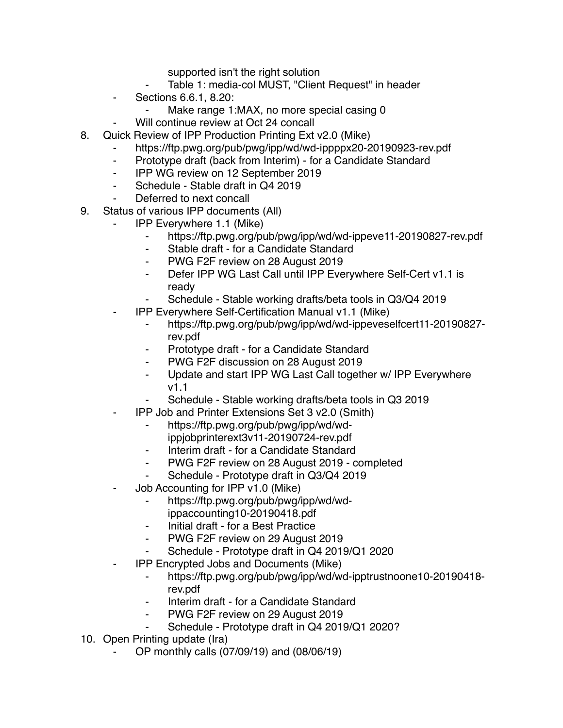supported isn't the right solution

- Table 1: media-col MUST, "Client Request" in header
- ⁃ Sections 6.6.1, 8.20:
	- Make range 1:MAX, no more special casing 0
	- Will continue review at Oct 24 concall
- 8. Quick Review of IPP Production Printing Ext v2.0 (Mike)
	- https://ftp.pwg.org/pub/pwg/ipp/wd/wd-ippppx20-20190923-rev.pdf
	- ⁃ Prototype draft (back from Interim) for a Candidate Standard
	- ⁃ IPP WG review on 12 September 2019
	- ⁃ Schedule Stable draft in Q4 2019
	- Deferred to next concall
- 9. Status of various IPP documents (All)
	- ⁃ IPP Everywhere 1.1 (Mike)
		- ⁃ https://ftp.pwg.org/pub/pwg/ipp/wd/wd-ippeve11-20190827-rev.pdf
		- ⁃ Stable draft for a Candidate Standard
		- PWG F2F review on 28 August 2019
		- ⁃ Defer IPP WG Last Call until IPP Everywhere Self-Cert v1.1 is ready
		- Schedule Stable working drafts/beta tools in Q3/Q4 2019
	- ⁃ IPP Everywhere Self-Certification Manual v1.1 (Mike)
		- ⁃ https://ftp.pwg.org/pub/pwg/ipp/wd/wd-ippeveselfcert11-20190827 rev.pdf
		- Prototype draft for a Candidate Standard
		- ⁃ PWG F2F discussion on 28 August 2019
		- ⁃ Update and start IPP WG Last Call together w/ IPP Everywhere v1.1
		- Schedule Stable working drafts/beta tools in Q3 2019
	- ⁃ IPP Job and Printer Extensions Set 3 v2.0 (Smith)
		- ⁃ https://ftp.pwg.org/pub/pwg/ipp/wd/wdippjobprinterext3v11-20190724-rev.pdf
		- Interim draft for a Candidate Standard
		- ⁃ PWG F2F review on 28 August 2019 completed
		- Schedule Prototype draft in Q3/Q4 2019
	- Job Accounting for IPP v1.0 (Mike)
		- ⁃ https://ftp.pwg.org/pub/pwg/ipp/wd/wd-
		- ippaccounting10-20190418.pdf
		- ⁃ Initial draft for a Best Practice
		- PWG F2F review on 29 August 2019
		- Schedule Prototype draft in Q4 2019/Q1 2020
	- ⁃ IPP Encrypted Jobs and Documents (Mike)
		- ⁃ https://ftp.pwg.org/pub/pwg/ipp/wd/wd-ipptrustnoone10-20190418 rev.pdf
		- Interim draft for a Candidate Standard
		- ⁃ PWG F2F review on 29 August 2019
		- Schedule Prototype draft in Q4 2019/Q1 2020?
- 10. Open Printing update (Ira)
	- ⁃ OP monthly calls (07/09/19) and (08/06/19)